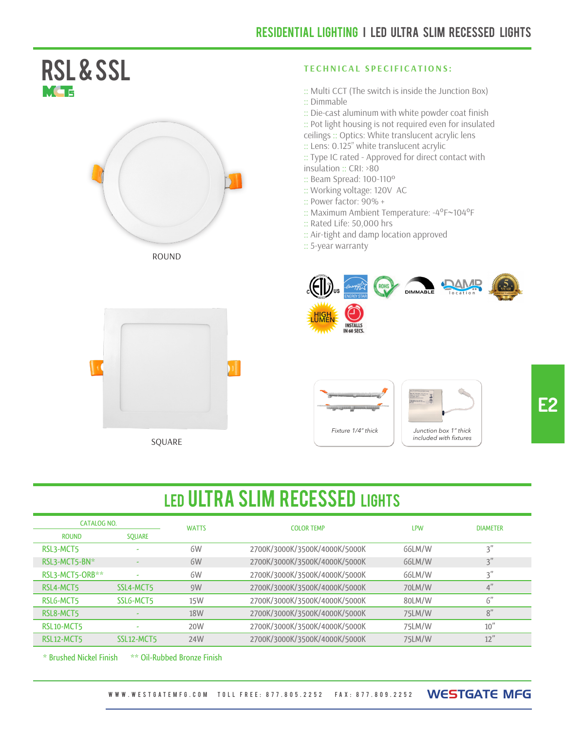#### RSL & ssl MG 5







#### **T E CHN I CAL S P E C IFICATIONS :**

- :: Multi CCT (The switch is inside the Junction Box) :: Dimmable
- :: Die-cast aluminum with white powder coat finish
- :: Pot light housing is not required even for insulated
- ceilings :: Optics: White translucent acrylic lens
- :: Lens: 0.125" white translucent acrylic
- :: Type IC rated Approved for direct contact with insulation :: CRI: >80
- :: Beam Spread: 100-110º
- :: Working voltage: 120V AC
- :: Power factor: 90% +
- :: Maximum Ambient Temperature: -4°F~104°F
- :: Rated Life: 50,000 hrs
- :: Air-tight and damp location approved
- :: 5-year warranty





## LED ULTRA SLIM RECESSED LIGHTS

| CATALOG NO.                         |            | <b>WATTS</b> | <b>COLOR TEMP</b>             | <b>LPW</b> | <b>DIAMETER</b> |
|-------------------------------------|------------|--------------|-------------------------------|------------|-----------------|
| <b>ROUND</b>                        | SOUARE     |              |                               |            |                 |
| RSL3-MCT5                           | ۰          | 6W           | 2700K/3000K/3500K/4000K/5000K | 66LM/W     | 3''             |
| RSL3-MCT5-BN*                       |            | 6W           | 2700K/3000K/3500K/4000K/5000K | 66LM/W     | 3"              |
| RSL3-MCT5-ORB**                     |            | 6W           | 2700K/3000K/3500K/4000K/5000K | 66LM/W     | 3"              |
| RSL4-MCT5                           | SSL4-MCT5  | 9W           | 2700K/3000K/3500K/4000K/5000K | 70LM/W     | 4"              |
| RSLG-MCT5                           | SSLG-MCT5  | 15W          | 2700K/3000K/3500K/4000K/5000K | 80LM/W     | 6"              |
| RSL8-MCT5                           |            | 18W          | 2700K/3000K/3500K/4000K/5000K | 75LM/W     | 8"              |
| RSL <sub>10</sub> -MCT <sub>5</sub> |            | 20W          | 2700K/3000K/3500K/4000K/5000K | 75LM/W     | 10''            |
| RSL12-MCT5                          | SSL12-MCT5 | 24W          | 2700K/3000K/3500K/4000K/5000K | 75LM/W     | 12"             |

\* Brushed Nickel Finish \*\* Oil-Rubbed Bronze Finish

W W W . W E S T G AT E M F G . C O M TOLL FREE: 877.805.2252 FAX: 877.809.2252 WESTGATE MFG